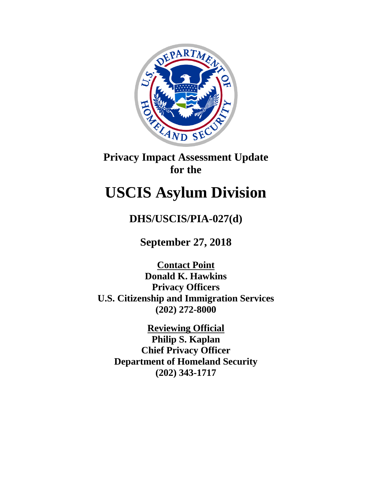

## **Privacy Impact Assessment Update for the**

# **USCIS Asylum Division**

**DHS/USCIS/PIA-027(d)**

**September 27, 2018**

**Contact Point Donald K. Hawkins Privacy Officers U.S. Citizenship and Immigration Services (202) 272-8000**

**Reviewing Official Philip S. Kaplan Chief Privacy Officer Department of Homeland Security (202) 343-1717**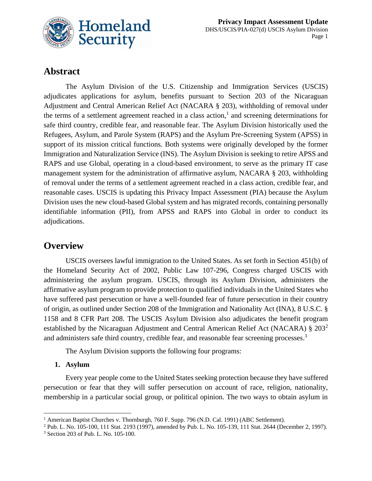

## **Abstract**

The Asylum Division of the U.S. Citizenship and Immigration Services (USCIS) adjudicates applications for asylum, benefits pursuant to Section 203 of the Nicaraguan Adjustment and Central American Relief Act (NACARA § 203), withholding of removal under the terms of a settlement agreement reached in a class action,<sup>1</sup> and screening determinations for safe third country, credible fear, and reasonable fear. The Asylum Division historically used the Refugees, Asylum, and Parole System (RAPS) and the Asylum Pre-Screening System (APSS) in support of its mission critical functions. Both systems were originally developed by the former Immigration and Naturalization Service (INS). The Asylum Division is seeking to retire APSS and RAPS and use Global, operating in a cloud-based environment, to serve as the primary IT case management system for the administration of affirmative asylum, NACARA § 203, withholding of removal under the terms of a settlement agreement reached in a class action, credible fear, and reasonable cases. USCIS is updating this Privacy Impact Assessment (PIA) because the Asylum Division uses the new cloud-based Global system and has migrated records, containing personally identifiable information (PII), from APSS and RAPS into Global in order to conduct its adjudications.

## **Overview**

USCIS oversees lawful immigration to the United States. As set forth in Section 451(b) of the Homeland Security Act of 2002, Public Law 107-296, Congress charged USCIS with administering the asylum program. USCIS, through its Asylum Division, administers the affirmative asylum program to provide protection to qualified individuals in the United States who have suffered past persecution or have a well-founded fear of future persecution in their country of origin, as outlined under Section 208 of the Immigration and Nationality Act (INA), 8 U.S.C. § 1158 and 8 CFR Part 208. The USCIS Asylum Division also adjudicates the benefit program established by the Nicaraguan Adjustment and Central American Relief Act (NACARA) § 203<sup>2</sup> and administers safe third country, credible fear, and reasonable fear screening processes.<sup>3</sup>

The Asylum Division supports the following four programs:

#### **1. Asylum**

Every year people come to the United States seeking protection because they have suffered persecution or fear that they will suffer persecution on account of race, religion, nationality, membership in a particular social group, or political opinion. The two ways to obtain asylum in

 $\overline{a}$ <sup>1</sup> American Baptist Churches v. Thornburgh, 760 F. Supp. 796 (N.D. Cal. 1991) (ABC Settlement).

<sup>2</sup> Pub. L. No. 105-100, 111 Stat. 2193 (1997), amended by Pub. L. No. 105-139, 111 Stat. 2644 (December 2, 1997).

<sup>3</sup> Section 203 of Pub. L. No. 105-100.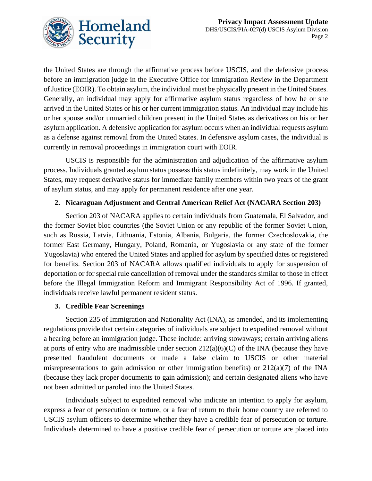

the United States are through the affirmative process before USCIS, and the defensive process before an immigration judge in the Executive Office for Immigration Review in the Department of Justice (EOIR). To obtain asylum, the individual must be physically present in the United States. Generally, an individual may apply for affirmative asylum status regardless of how he or she arrived in the United States or his or her current immigration status. An individual may include his or her spouse and/or unmarried children present in the United States as derivatives on his or her asylum application. A defensive application for asylum occurs when an individual requests asylum as a defense against removal from the United States. In defensive asylum cases, the individual is currently in removal proceedings in immigration court with EOIR.

USCIS is responsible for the administration and adjudication of the affirmative asylum process. Individuals granted asylum status possess this status indefinitely, may work in the United States, may request derivative status for immediate family members within two years of the grant of asylum status, and may apply for permanent residence after one year.

#### **2. Nicaraguan Adjustment and Central American Relief Act (NACARA Section 203)**

Section 203 of NACARA applies to certain individuals from Guatemala, El Salvador, and the former Soviet bloc countries (the Soviet Union or any republic of the former Soviet Union, such as Russia, Latvia, Lithuania, Estonia, Albania, Bulgaria, the former Czechoslovakia, the former East Germany, Hungary, Poland, Romania, or Yugoslavia or any state of the former Yugoslavia) who entered the United States and applied for asylum by specified dates or registered for benefits. Section 203 of NACARA allows qualified individuals to apply for suspension of deportation or for special rule cancellation of removal under the standards similar to those in effect before the Illegal Immigration Reform and Immigrant Responsibility Act of 1996. If granted, individuals receive lawful permanent resident status.

#### **3. Credible Fear Screenings**

Section 235 of Immigration and Nationality Act (INA), as amended, and its implementing regulations provide that certain categories of individuals are subject to expedited removal without a hearing before an immigration judge. These include: arriving stowaways; certain arriving aliens at ports of entry who are inadmissible under section  $212(a)(6)(C)$  of the INA (because they have presented fraudulent documents or made a false claim to USCIS or other material misrepresentations to gain admission or other immigration benefits) or 212(a)(7) of the INA (because they lack proper documents to gain admission); and certain designated aliens who have not been admitted or paroled into the United States.

Individuals subject to expedited removal who indicate an intention to apply for asylum, express a fear of persecution or torture, or a fear of return to their home country are referred to USCIS asylum officers to determine whether they have a credible fear of persecution or torture. Individuals determined to have a positive credible fear of persecution or torture are placed into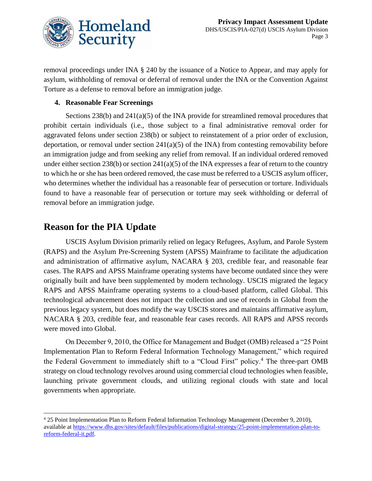

removal proceedings under INA § 240 by the issuance of a Notice to Appear, and may apply for asylum, withholding of removal or deferral of removal under the INA or the Convention Against Torture as a defense to removal before an immigration judge.

#### **4. Reasonable Fear Screenings**

Sections 238(b) and 241(a)(5) of the INA provide for streamlined removal procedures that prohibit certain individuals (i.e., those subject to a final administrative removal order for aggravated felons under section 238(b) or subject to reinstatement of a prior order of exclusion, deportation, or removal under section 241(a)(5) of the INA) from contesting removability before an immigration judge and from seeking any relief from removal. If an individual ordered removed under either section 238(b) or section 241(a)(5) of the INA expresses a fear of return to the country to which he or she has been ordered removed, the case must be referred to a USCIS asylum officer, who determines whether the individual has a reasonable fear of persecution or torture. Individuals found to have a reasonable fear of persecution or torture may seek withholding or deferral of removal before an immigration judge.

### **Reason for the PIA Update**

 $\overline{a}$ 

USCIS Asylum Division primarily relied on legacy Refugees, Asylum, and Parole System (RAPS) and the Asylum Pre-Screening System (APSS) Mainframe to facilitate the adjudication and administration of affirmative asylum, NACARA § 203, credible fear, and reasonable fear cases. The RAPS and APSS Mainframe operating systems have become outdated since they were originally built and have been supplemented by modern technology. USCIS migrated the legacy RAPS and APSS Mainframe operating systems to a cloud-based platform, called Global. This technological advancement does not impact the collection and use of records in Global from the previous legacy system, but does modify the way USCIS stores and maintains affirmative asylum, NACARA § 203, credible fear, and reasonable fear cases records. All RAPS and APSS records were moved into Global.

On December 9, 2010, the Office for Management and Budget (OMB) released a "25 Point Implementation Plan to Reform Federal Information Technology Management," which required the Federal Government to immediately shift to a "Cloud First" policy.<sup>4</sup> The three-part OMB strategy on cloud technology revolves around using commercial cloud technologies when feasible, launching private government clouds, and utilizing regional clouds with state and local governments when appropriate.

<sup>4</sup> 25 Point Implementation Plan to Reform Federal Information Technology Management (December 9, 2010), available at [https://www.dhs.gov/sites/default/files/publications/digital-strategy/25-point-implementation-plan-to](https://www.dhs.gov/sites/default/files/publications/digital-strategy/25-point-implementation-plan-to-reform-federal-it.pdf)[reform-federal-it.pdf.](https://www.dhs.gov/sites/default/files/publications/digital-strategy/25-point-implementation-plan-to-reform-federal-it.pdf)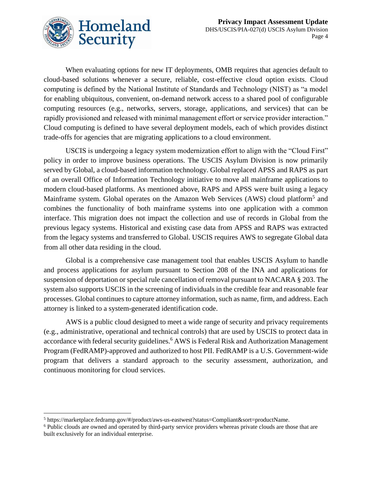Page 4



When evaluating options for new IT deployments, OMB requires that agencies default to cloud-based solutions whenever a secure, reliable, cost-effective cloud option exists. Cloud computing is defined by the National Institute of Standards and Technology (NIST) as "a model for enabling ubiquitous, convenient, on-demand network access to a shared pool of configurable computing resources (e.g., networks, servers, storage, applications, and services) that can be rapidly provisioned and released with minimal management effort or service provider interaction." Cloud computing is defined to have several deployment models, each of which provides distinct trade-offs for agencies that are migrating applications to a cloud environment.

USCIS is undergoing a legacy system modernization effort to align with the "Cloud First" policy in order to improve business operations. The USCIS Asylum Division is now primarily served by Global, a cloud-based information technology. Global replaced APSS and RAPS as part of an overall Office of Information Technology initiative to move all mainframe applications to modern cloud-based platforms. As mentioned above, RAPS and APSS were built using a legacy Mainframe system. Global operates on the Amazon Web Services (AWS) cloud platform<sup>5</sup> and combines the functionality of both mainframe systems into one application with a common interface. This migration does not impact the collection and use of records in Global from the previous legacy systems. Historical and existing case data from APSS and RAPS was extracted from the legacy systems and transferred to Global. USCIS requires AWS to segregate Global data from all other data residing in the cloud.

Global is a comprehensive case management tool that enables USCIS Asylum to handle and process applications for asylum pursuant to Section 208 of the INA and applications for suspension of deportation or special rule cancellation of removal pursuant to NACARA § 203. The system also supports USCIS in the screening of individuals in the credible fear and reasonable fear processes. Global continues to capture attorney information, such as name, firm, and address. Each attorney is linked to a system-generated identification code.

AWS is a public cloud designed to meet a wide range of security and privacy requirements (e.g., administrative, operational and technical controls) that are used by USCIS to protect data in accordance with federal security guidelines.<sup>6</sup> AWS is Federal Risk and Authorization Management Program (FedRAMP)-approved and authorized to host PII. FedRAMP is a U.S. Government-wide program that delivers a standard approach to the security assessment, authorization, and continuous monitoring for cloud services.

 $\overline{a}$ <sup>5</sup> https://marketplace.fedramp.gov/#/product/aws-us-eastwest?status=Compliant&sort=productName.

<sup>6</sup> Public clouds are owned and operated by third-party service providers whereas private clouds are those that are built exclusively for an individual enterprise.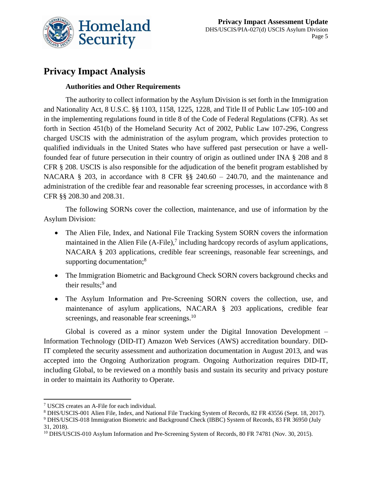

## **Privacy Impact Analysis**

#### **Authorities and Other Requirements**

The authority to collect information by the Asylum Division is set forth in the Immigration and Nationality Act, 8 U.S.C. §§ 1103, 1158, 1225, 1228, and Title II of Public Law 105-100 and in the implementing regulations found in title 8 of the Code of Federal Regulations (CFR). As set forth in Section 451(b) of the Homeland Security Act of 2002, Public Law 107-296, Congress charged USCIS with the administration of the asylum program, which provides protection to qualified individuals in the United States who have suffered past persecution or have a wellfounded fear of future persecution in their country of origin as outlined under INA § 208 and 8 CFR § 208. USCIS is also responsible for the adjudication of the benefit program established by NACARA § 203, in accordance with 8 CFR §§ 240.60 – 240.70, and the maintenance and administration of the credible fear and reasonable fear screening processes, in accordance with 8 CFR §§ 208.30 and 208.31.

The following SORNs cover the collection, maintenance, and use of information by the Asylum Division:

- The Alien File, Index, and National File Tracking System SORN covers the information maintained in the Alien File (A-File),<sup>7</sup> including hardcopy records of asylum applications, NACARA § 203 applications, credible fear screenings, reasonable fear screenings, and supporting documentation;<sup>8</sup>
- The Immigration Biometric and Background Check SORN covers background checks and their results;<sup>9</sup> and
- The Asylum Information and Pre-Screening SORN covers the collection, use, and maintenance of asylum applications, NACARA § 203 applications, credible fear screenings, and reasonable fear screenings.<sup>10</sup>

Global is covered as a minor system under the Digital Innovation Development – Information Technology (DID-IT) Amazon Web Services (AWS) accreditation boundary. DID-IT completed the security assessment and authorization documentation in August 2013, and was accepted into the Ongoing Authorization program. Ongoing Authorization requires DID-IT, including Global, to be reviewed on a monthly basis and sustain its security and privacy posture in order to maintain its Authority to Operate.

 $\overline{a}$ 

<sup>7</sup> USCIS creates an A-File for each individual.

<sup>8</sup> DHS/USCIS-001 Alien File, Index, and National File Tracking System of Records, 82 FR 43556 (Sept. 18, 2017).

<sup>9</sup> DHS/USCIS-018 Immigration Biometric and Background Check (IBBC) System of Records, 83 FR 36950 (July 31, 2018).

<sup>10</sup> DHS/USCIS-010 Asylum Information and Pre-Screening System of Records, 80 FR 74781 (Nov. 30, 2015).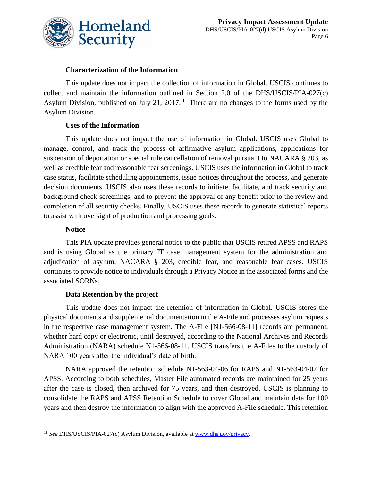

#### **Characterization of the Information**

This update does not impact the collection of information in Global. USCIS continues to collect and maintain the information outlined in Section 2.0 of the DHS/USCIS/PIA-027(c) Asylum Division, published on July 21, 2017. <sup>11</sup> There are no changes to the forms used by the Asylum Division.

#### **Uses of the Information**

This update does not impact the use of information in Global. USCIS uses Global to manage, control, and track the process of affirmative asylum applications, applications for suspension of deportation or special rule cancellation of removal pursuant to NACARA § 203, as well as credible fear and reasonable fear screenings. USCIS uses the information in Global to track case status, facilitate scheduling appointments, issue notices throughout the process, and generate decision documents. USCIS also uses these records to initiate, facilitate, and track security and background check screenings, and to prevent the approval of any benefit prior to the review and completion of all security checks. Finally, USCIS uses these records to generate statistical reports to assist with oversight of production and processing goals.

#### **Notice**

This PIA update provides general notice to the public that USCIS retired APSS and RAPS and is using Global as the primary IT case management system for the administration and adjudication of asylum, NACARA § 203, credible fear, and reasonable fear cases. USCIS continues to provide notice to individuals through a Privacy Notice in the associated forms and the associated SORNs.

#### **Data Retention by the project**

This update does not impact the retention of information in Global. USCIS stores the physical documents and supplemental documentation in the A-File and processes asylum requests in the respective case management system. The A-File [N1-566-08-11] records are permanent, whether hard copy or electronic, until destroyed, according to the National Archives and Records Administration (NARA) schedule N1-566-08-11. USCIS transfers the A-Files to the custody of NARA 100 years after the individual's date of birth.

NARA approved the retention schedule N1-563-04-06 for RAPS and N1-563-04-07 for APSS. According to both schedules, Master File automated records are maintained for 25 years after the case is closed, then archived for 75 years, and then destroyed. USCIS is planning to consolidate the RAPS and APSS Retention Schedule to cover Global and maintain data for 100 years and then destroy the information to align with the approved A-File schedule. This retention

 $\overline{a}$ <sup>11</sup> *See* DHS/USCIS/PIA-027(c) Asylum Division, available at [www.dhs.gov/privacy.](http://www.dhs.gov/privacy)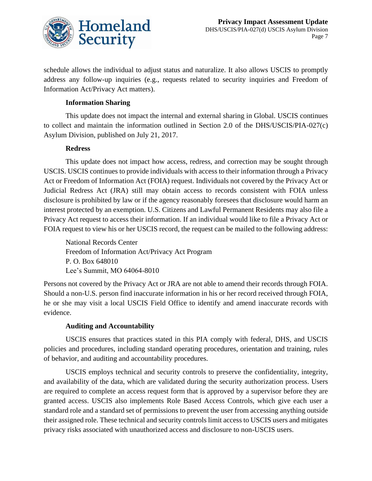

schedule allows the individual to adjust status and naturalize. It also allows USCIS to promptly address any follow-up inquiries (e.g., requests related to security inquiries and Freedom of Information Act/Privacy Act matters).

#### **Information Sharing**

This update does not impact the internal and external sharing in Global. USCIS continues to collect and maintain the information outlined in Section 2.0 of the DHS/USCIS/PIA-027(c) Asylum Division, published on July 21, 2017.

#### **Redress**

This update does not impact how access, redress, and correction may be sought through USCIS. USCIS continues to provide individuals with access to their information through a Privacy Act or Freedom of Information Act (FOIA) request. Individuals not covered by the Privacy Act or Judicial Redress Act (JRA) still may obtain access to records consistent with FOIA unless disclosure is prohibited by law or if the agency reasonably foresees that disclosure would harm an interest protected by an exemption. U.S. Citizens and Lawful Permanent Residents may also file a Privacy Act request to access their information. If an individual would like to file a Privacy Act or FOIA request to view his or her USCIS record, the request can be mailed to the following address:

National Records Center Freedom of Information Act/Privacy Act Program P. O. Box 648010 Lee's Summit, MO 64064-8010

Persons not covered by the Privacy Act or JRA are not able to amend their records through FOIA. Should a non-U.S. person find inaccurate information in his or her record received through FOIA, he or she may visit a local USCIS Field Office to identify and amend inaccurate records with evidence.

#### **Auditing and Accountability**

USCIS ensures that practices stated in this PIA comply with federal, DHS, and USCIS policies and procedures, including standard operating procedures, orientation and training, rules of behavior, and auditing and accountability procedures.

USCIS employs technical and security controls to preserve the confidentiality, integrity, and availability of the data, which are validated during the security authorization process. Users are required to complete an access request form that is approved by a supervisor before they are granted access. USCIS also implements Role Based Access Controls, which give each user a standard role and a standard set of permissions to prevent the user from accessing anything outside their assigned role. These technical and security controls limit access to USCIS users and mitigates privacy risks associated with unauthorized access and disclosure to non-USCIS users.